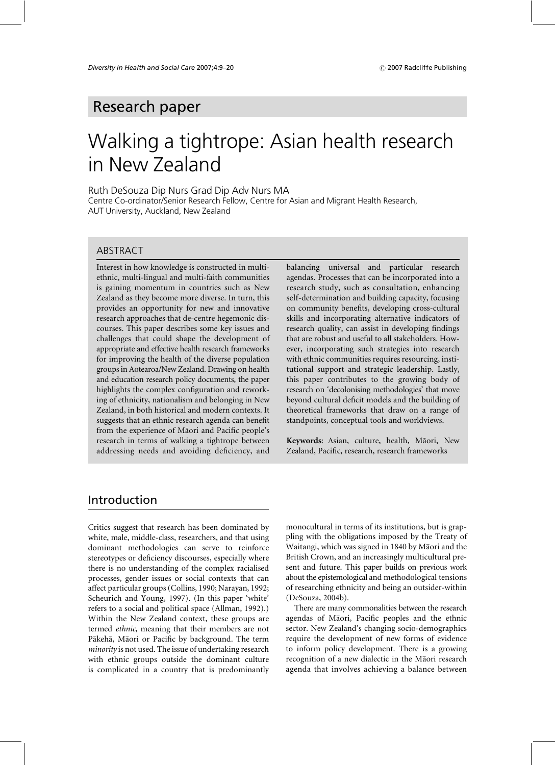# Research paper

# Walking a tightrope: Asian health research in New Zealand

Ruth DeSouza Dip Nurs Grad Dip Adv Nurs MA

Centre Co-ordinator/Senior Research Fellow, Centre for Asian and Migrant Health Research, AUT University, Auckland, New Zealand

#### ARSTRACT

Interest in how knowledge is constructed in multiethnic, multi-lingual and multi-faith communities is gaining momentum in countries such as New Zealand as they become more diverse. In turn, this provides an opportunity for new and innovative research approaches that de-centre hegemonic discourses. This paper describes some key issues and challenges that could shape the development of appropriate and effective health research frameworks for improving the health of the diverse population groups in Aotearoa/New Zealand. Drawing on health and education research policy documents, the paper highlights the complex configuration and reworking of ethnicity, nationalism and belonging in New Zealand, in both historical and modern contexts. It suggests that an ethnic research agenda can benefit from the experience of Māori and Pacific people's research in terms of walking a tightrope between addressing needs and avoiding deficiency, and

balancing universal and particular research agendas. Processes that can be incorporated into a research study, such as consultation, enhancing self-determination and building capacity, focusing on community benefits, developing cross-cultural skills and incorporating alternative indicators of research quality, can assist in developing findings that are robust and useful to all stakeholders. However, incorporating such strategies into research with ethnic communities requires resourcing, institutional support and strategic leadership. Lastly, this paper contributes to the growing body of research on 'decolonising methodologies' that move beyond cultural deficit models and the building of theoretical frameworks that draw on a range of standpoints, conceptual tools and worldviews.

Keywords: Asian, culture, health, Māori, New Zealand, Pacific, research, research frameworks

# Introduction

Critics suggest that research has been dominated by white, male, middle-class, researchers, and that using dominant methodologies can serve to reinforce stereotypes or deficiency discourses, especially where there is no understanding of the complex racialised processes, gender issues or social contexts that can affect particular groups (Collins, 1990; Narayan, 1992; Scheurich and Young, 1997). (In this paper 'white' refers to a social and political space (Allman, 1992).) Within the New Zealand context, these groups are termed ethnic, meaning that their members are not Pākehā, Māori or Pacific by background. The term *minority* is not used. The issue of undertaking research with ethnic groups outside the dominant culture is complicated in a country that is predominantly monocultural in terms of its institutions, but is grappling with the obligations imposed by the Treaty of Waitangi, which was signed in 1840 by Māori and the British Crown, and an increasingly multicultural present and future. This paper builds on previous work about the epistemological and methodological tensions of researching ethnicity and being an outsider-within (DeSouza, 2004b).

There are many commonalities between the research agendas of Māori, Pacific peoples and the ethnic sector. New Zealand's changing socio-demographics require the development of new forms of evidence to inform policy development. There is a growing recognition of a new dialectic in the Māori research agenda that involves achieving a balance between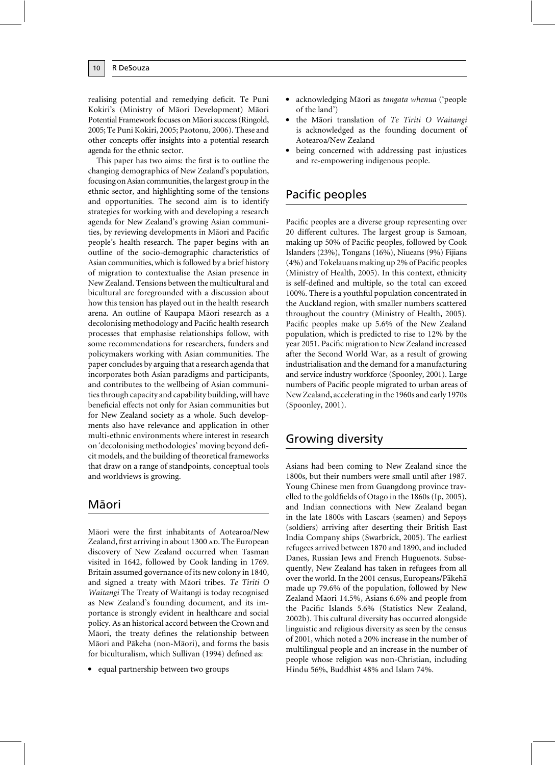realising potential and remedying deficit. Te Puni Kokiri's (Ministry of Māori Development) Māori Potential Framework focuses on Māori success (Ringold, 2005; Te Puni Kokiri, 2005; Paotonu, 2006). These and other concepts offer insights into a potential research agenda for the ethnic sector.

This paper has two aims: the first is to outline the changing demographics of New Zealand's population, focusing on Asian communities, the largest group in the ethnic sector, and highlighting some of the tensions and opportunities. The second aim is to identify strategies for working with and developing a research agenda for New Zealand's growing Asian communities, by reviewing developments in Māori and Pacific people's health research. The paper begins with an outline of the socio-demographic characteristics of Asian communities, which is followed by a brief history of migration to contextualise the Asian presence in New Zealand. Tensions between the multicultural and bicultural are foregrounded with a discussion about how this tension has played out in the health research arena. An outline of Kaupapa Māori research as a decolonising methodology and Pacific health research processes that emphasise relationships follow, with some recommendations for researchers, funders and policymakers working with Asian communities. The paper concludes by arguing that a research agenda that incorporates both Asian paradigms and participants, and contributes to the wellbeing of Asian communities through capacity and capability building, will have beneficial effects not only for Asian communities but for New Zealand society as a whole. Such developments also have relevance and application in other multi-ethnic environments where interest in research on 'decolonising methodologies' moving beyond deficit models, and the building of theoretical frameworks that draw on a range of standpoints, conceptual tools and worldviews is growing.

# Māori

Māori were the first inhabitants of Aotearoa/New Zealand, first arriving in about 1300 AD. The European discovery of New Zealand occurred when Tasman visited in 1642, followed by Cook landing in 1769. Britain assumed governance of its new colony in 1840, and signed a treaty with Māori tribes. Te Tiriti O Waitangi The Treaty of Waitangi is today recognised as New Zealand's founding document, and its importance is strongly evident in healthcare and social policy. As an historical accord between the Crown and Māori, the treaty defines the relationship between Māori and Pākeha (non-Māori), and forms the basis for biculturalism, which Sullivan (1994) defined as:

• equal partnership between two groups

- acknowledging Māori as tangata whenua ('people of the land')
- the Māori translation of Te Tiriti O Waitangi is acknowledged as the founding document of Aotearoa/New Zealand
- being concerned with addressing past injustices and re-empowering indigenous people.

# Pacific peoples

Pacific peoples are a diverse group representing over 20 different cultures. The largest group is Samoan, making up 50% of Pacific peoples, followed by Cook Islanders (23%), Tongans (16%), Niueans (9%) Fijians (4%) and Tokelauans making up 2% of Pacific peoples (Ministry of Health, 2005). In this context, ethnicity is self-defined and multiple, so the total can exceed 100%. There is a youthful population concentrated in the Auckland region, with smaller numbers scattered throughout the country (Ministry of Health, 2005). Pacific peoples make up 5.6% of the New Zealand population, which is predicted to rise to 12% by the year 2051. Pacific migration to New Zealand increased after the Second World War, as a result of growing industrialisation and the demand for a manufacturing and service industry workforce (Spoonley, 2001). Large numbers of Pacific people migrated to urban areas of New Zealand, accelerating in the 1960s and early 1970s (Spoonley, 2001).

# Growing diversity

Asians had been coming to New Zealand since the 1800s, but their numbers were small until after 1987. Young Chinese men from Guangdong province travelled to the goldfields of Otago in the 1860s (Ip, 2005), and Indian connections with New Zealand began in the late 1800s with Lascars (seamen) and Sepoys (soldiers) arriving after deserting their British East India Company ships (Swarbrick, 2005). The earliest refugees arrived between 1870 and 1890, and included Danes, Russian Jews and French Huguenots. Subsequently, New Zealand has taken in refugees from all over the world. In the 2001 census, Europeans/Pākehā made up 79.6% of the population, followed by New Zealand Māori 14.5%, Asians 6.6% and people from the Pacific Islands 5.6% (Statistics New Zealand, 2002b). This cultural diversity has occurred alongside linguistic and religious diversity as seen by the census of 2001, which noted a 20% increase in the number of multilingual people and an increase in the number of people whose religion was non-Christian, including Hindu 56%, Buddhist 48% and Islam 74%.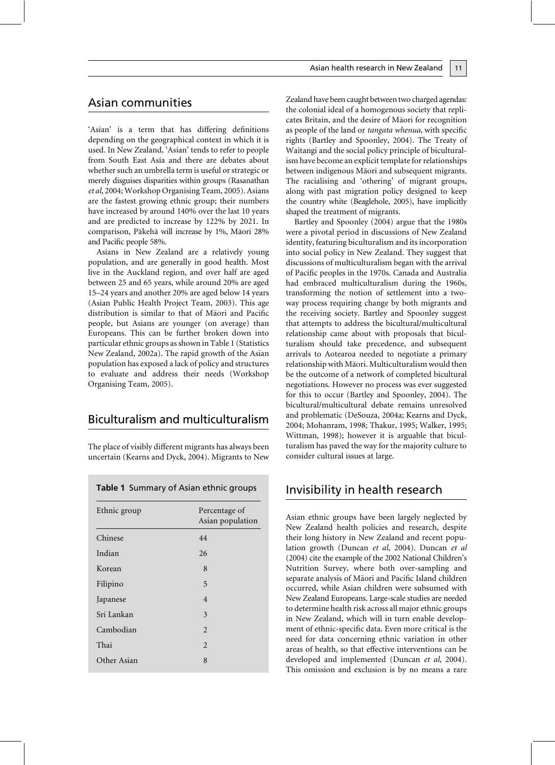'Asian' is a term that has differing definitions depending on the geographical context in which it is used. In New Zealand, 'Asian' tends to refer to people from South East Asia and there are debates about whether such an umbrella term is useful or strategic or merely disguises disparities within groups (Rasanathan et al, 2004; Workshop Organising Team, 2005). Asians are the fastest growing ethnic group; their numbers have increased by around 140% over the last 10 years and are predicted to increase by 122% by 2021. In comparison, Pākehā will increase by 1%, Māori 28% and Pacific people 58%.

Asians in New Zealand are a relatively young population, and are generally in good health. Most live in the Auckland region, and over half are aged between 25 and 65 years, while around 20% are aged 15-24 years and another 20% are aged below 14 years (Asian Public Health Project Team, 2003). This age distribution is similar to that of Maori and Pacific people, but Asians are younger (on average) than Europeans. This can be further broken down into particular ethnic groups as shown in Table 1 (Statistics New Zealand, 2002a). The rapid growth of the Asian population has exposed a lack of policy and structures to evaluate and address their needs (Workshop Organising Team, 2005).

# **Biculturalism and multiculturalism**

The place of visibly different migrants has always been uncertain (Kearns and Dyck, 2004). Migrants to New

|  |  | Table 1 Summary of Asian ethnic groups |  |  |  |
|--|--|----------------------------------------|--|--|--|
|--|--|----------------------------------------|--|--|--|

| Ethnic group | Percentage of<br>Asian population |  |
|--------------|-----------------------------------|--|
| Chinese      | 44                                |  |
| Indian       | 26                                |  |
| Korean       | 8                                 |  |
| Filipino     | 5                                 |  |
| Japanese     | 4                                 |  |
| Sri Lankan   | 3                                 |  |
| Cambodian    | $\overline{2}$                    |  |
| Thai         | $\overline{2}$                    |  |
| Other Asian  | 8                                 |  |
|              |                                   |  |

Zealand have been caught between two charged agendas: the colonial ideal of a homogenous society that replicates Britain, and the desire of Māori for recognition as people of the land or tangata whenua, with specific rights (Bartley and Spoonley, 2004). The Treaty of Waitangi and the social policy principle of biculturalism have become an explicit template for relationships between indigenous Māori and subsequent migrants. The racialising and 'othering' of migrant groups, along with past migration policy designed to keep the country white (Beaglehole, 2005), have implicitly shaped the treatment of migrants.

Bartley and Spoonley (2004) argue that the 1980s were a pivotal period in discussions of New Zealand identity, featuring biculturalism and its incorporation into social policy in New Zealand. They suggest that discussions of multiculturalism began with the arrival of Pacific peoples in the 1970s. Canada and Australia had embraced multiculturalism during the 1960s, transforming the notion of settlement into a twoway process requiring change by both migrants and the receiving society. Bartley and Spoonley suggest that attempts to address the bicultural/multicultural relationship came about with proposals that biculturalism should take precedence, and subsequent arrivals to Aotearoa needed to negotiate a primary relationship with Māori. Multiculturalism would then be the outcome of a network of completed bicultural negotiations. However no process was ever suggested for this to occur (Bartley and Spoonley, 2004). The bicultural/multicultural debate remains unresolved and problematic (DeSouza, 2004a; Kearns and Dyck, 2004; Mohanram, 1998; Thakur, 1995; Walker, 1995; Wittman, 1998); however it is arguable that biculturalism has paved the way for the majority culture to consider cultural issues at large.

# Invisibility in health research

Asian ethnic groups have been largely neglected by New Zealand health policies and research, despite their long history in New Zealand and recent population growth (Duncan et al, 2004). Duncan et al (2004) cite the example of the 2002 National Children's Nutrition Survey, where both over-sampling and separate analysis of Māori and Pacific Island children occurred, while Asian children were subsumed with New Zealand Europeans. Large-scale studies are needed to determine health risk across all major ethnic groups in New Zealand, which will in turn enable development of ethnic-specific data. Even more critical is the need for data concerning ethnic variation in other areas of health, so that effective interventions can be developed and implemented (Duncan et al, 2004). This omission and exclusion is by no means a rare

11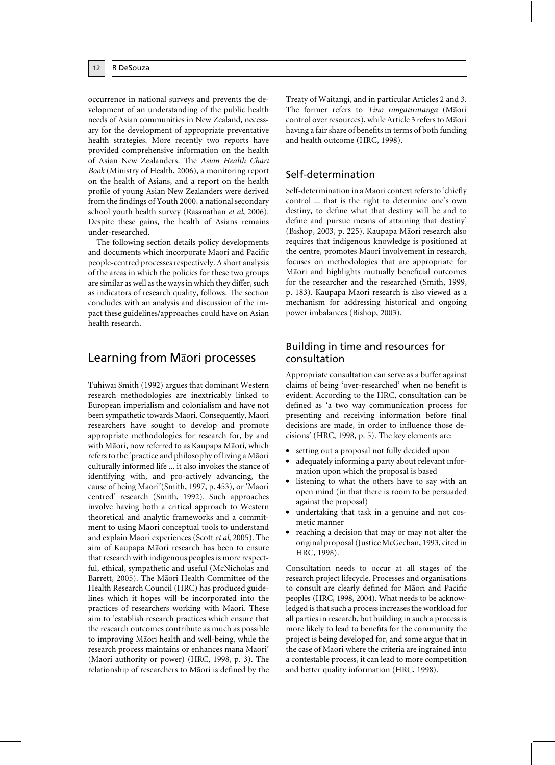occurrence in national surveys and prevents the development of an understanding of the public health needs of Asian communities in New Zealand, necessary for the development of appropriate preventative health strategies. More recently two reports have provided comprehensive information on the health of Asian New Zealanders. The Asian Health Chart Book (Ministry of Health, 2006), a monitoring report on the health of Asians, and a report on the health profile of young Asian New Zealanders were derived from the findings of Youth 2000, a national secondary school youth health survey (Rasanathan et al, 2006). Despite these gains, the health of Asians remains under-researched.

The following section details policy developments and documents which incorporate Māori and Pacific people-centred processes respectively. A short analysis of the areas in which the policies for these two groups are similar as well as the ways in which they differ, such as indicators of research quality, follows. The section concludes with an analysis and discussion of the impact these guidelines/approaches could have on Asian health research.

# Learning from Maori processes

Tuhiwai Smith (1992) argues that dominant Western research methodologies are inextricably linked to European imperialism and colonialism and have not been sympathetic towards Māori. Consequently, Māori researchers have sought to develop and promote appropriate methodologies for research for, by and with Māori, now referred to as Kaupapa Māori, which refers to the 'practice and philosophy of living a Māori culturally informed life ... it also invokes the stance of identifying with, and pro-actively advancing, the cause of being Māori'(Smith, 1997, p. 453), or 'Māori centred' research (Smith, 1992). Such approaches involve having both a critical approach to Western theoretical and analytic frameworks and a commitment to using Maori conceptual tools to understand and explain Māori experiences (Scott et al, 2005). The aim of Kaupapa Māori research has been to ensure that research with indigenous peoples is more respectful, ethical, sympathetic and useful (McNicholas and Barrett, 2005). The Māori Health Committee of the Health Research Council (HRC) has produced guidelines which it hopes will be incorporated into the practices of researchers working with Māori. These aim to 'establish research practices which ensure that the research outcomes contribute as much as possible to improving Māori health and well-being, while the research process maintains or enhances mana Māori' (Maori authority or power) (HRC, 1998, p. 3). The relationship of researchers to Maori is defined by the

Treaty of Waitangi, and in particular Articles 2 and 3. The former refers to Tino rangatiratanga (Māori control over resources), while Article 3 refers to Māori having a fair share of benefits in terms of both funding and health outcome (HRC, 1998).

# Self-determination

Self-determination in a Māori context refers to 'chiefly control ... that is the right to determine one's own destiny, to define what that destiny will be and to define and pursue means of attaining that destiny' (Bishop, 2003, p. 225). Kaupapa Māori research also requires that indigenous knowledge is positioned at the centre, promotes Māori involvement in research, focuses on methodologies that are appropriate for Māori and highlights mutually beneficial outcomes for the researcher and the researched (Smith, 1999, p. 183). Kaupapa Māori research is also viewed as a mechanism for addressing historical and ongoing power imbalances (Bishop, 2003).

### Building in time and resources for consultation

Appropriate consultation can serve as a buffer against claims of being 'over-researched' when no benefit is evident. According to the HRC, consultation can be defined as 'a two way communication process for presenting and receiving information before final decisions are made, in order to influence those decisions' (HRC, 1998, p. 5). The key elements are:

- setting out a proposal not fully decided upon
- adequately informing a party about relevant information upon which the proposal is based
- listening to what the others have to say with an open mind (in that there is room to be persuaded against the proposal)
- undertaking that task in a genuine and not cosmetic manner
- reaching a decision that may or may not alter the original proposal (Justice McGechan, 1993, cited in HRC, 1998).

Consultation needs to occur at all stages of the research project lifecycle. Processes and organisations to consult are clearly defined for Māori and Pacific peoples (HRC, 1998, 2004). What needs to be acknowledged is that such a process increases the workload for all parties in research, but building in such a process is more likely to lead to benefits for the community the project is being developed for, and some argue that in the case of Māori where the criteria are ingrained into a contestable process, it can lead to more competition and better quality information (HRC, 1998).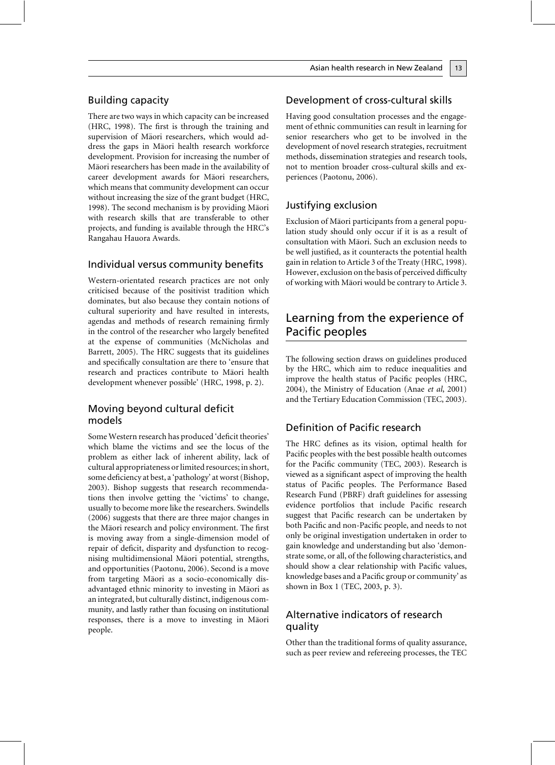### **Building capacity**

There are two ways in which capacity can be increased (HRC, 1998). The first is through the training and supervision of Māori researchers, which would address the gaps in Māori health research workforce development. Provision for increasing the number of Māori researchers has been made in the availability of career development awards for Maori researchers, which means that community development can occur without increasing the size of the grant budget (HRC, 1998). The second mechanism is by providing Māori with research skills that are transferable to other projects, and funding is available through the HRC's Rangahau Hauora Awards.

### Individual versus community benefits

Western-orientated research practices are not only criticised because of the positivist tradition which dominates, but also because they contain notions of cultural superiority and have resulted in interests, agendas and methods of research remaining firmly in the control of the researcher who largely benefited at the expense of communities (McNicholas and Barrett, 2005). The HRC suggests that its guidelines and specifically consultation are there to 'ensure that research and practices contribute to Māori health development whenever possible' (HRC, 1998, p. 2).

### Moving beyond cultural deficit models

Some Western research has produced 'deficit theories' which blame the victims and see the locus of the problem as either lack of inherent ability, lack of cultural appropriateness or limited resources; in short, some deficiency at best, a 'pathology' at worst (Bishop, 2003). Bishop suggests that research recommendations then involve getting the 'victims' to change, usually to become more like the researchers. Swindells (2006) suggests that there are three major changes in the Māori research and policy environment. The first is moving away from a single-dimension model of repair of deficit, disparity and dysfunction to recognising multidimensional Māori potential, strengths, and opportunities (Paotonu, 2006). Second is a move from targeting Māori as a socio-economically disadvantaged ethnic minority to investing in Maori as an integrated, but culturally distinct, indigenous community, and lastly rather than focusing on institutional responses, there is a move to investing in Māori people.

### Development of cross-cultural skills

Having good consultation processes and the engagement of ethnic communities can result in learning for senior researchers who get to be involved in the development of novel research strategies, recruitment methods, dissemination strategies and research tools, not to mention broader cross-cultural skills and experiences (Paotonu, 2006).

### Justifying exclusion

Exclusion of Maori participants from a general population study should only occur if it is as a result of consultation with Māori. Such an exclusion needs to be well justified, as it counteracts the potential health gain in relation to Article 3 of the Treaty (HRC, 1998). However, exclusion on the basis of perceived difficulty of working with Māori would be contrary to Article 3.

# Learning from the experience of Pacific peoples

The following section draws on guidelines produced by the HRC, which aim to reduce inequalities and improve the health status of Pacific peoples (HRC, 2004), the Ministry of Education (Anae et al, 2001) and the Tertiary Education Commission (TEC, 2003).

### Definition of Pacific research

The HRC defines as its vision, optimal health for Pacific peoples with the best possible health outcomes for the Pacific community (TEC, 2003). Research is viewed as a significant aspect of improving the health status of Pacific peoples. The Performance Based Research Fund (PBRF) draft guidelines for assessing evidence portfolios that include Pacific research suggest that Pacific research can be undertaken by both Pacific and non-Pacific people, and needs to not only be original investigation undertaken in order to gain knowledge and understanding but also 'demonstrate some, or all, of the following characteristics, and should show a clear relationship with Pacific values, knowledge bases and a Pacific group or community' as shown in Box 1 (TEC, 2003, p. 3).

### Alternative indicators of research quality

Other than the traditional forms of quality assurance, such as peer review and refereeing processes, the TEC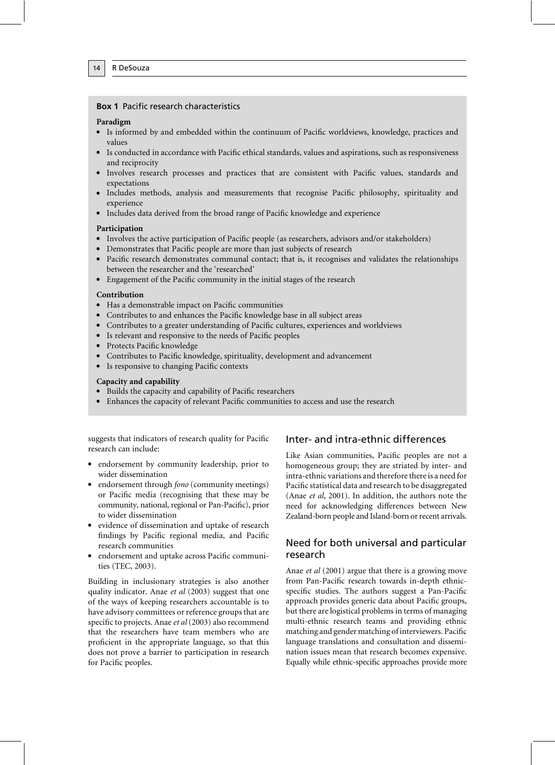#### **Box 1 Pacific research characteristics**

#### Paradigm

14

- Is informed by and embedded within the continuum of Pacific worldviews, knowledge, practices and values
- Is conducted in accordance with Pacific ethical standards, values and aspirations, such as responsiveness and reciprocity
- Involves research processes and practices that are consistent with Pacific values, standards and expectations
- Includes methods, analysis and measurements that recognise Pacific philosophy, spirituality and experience
- Includes data derived from the broad range of Pacific knowledge and experience

#### Participation

- Involves the active participation of Pacific people (as researchers, advisors and/or stakeholders)
- Demonstrates that Pacific people are more than just subjects of research
- Pacific research demonstrates communal contact; that is, it recognises and validates the relationships between the researcher and the 'researched'
- Engagement of the Pacific community in the initial stages of the research

#### Contribution

- Has a demonstrable impact on Pacific communities
- Contributes to and enhances the Pacific knowledge base in all subject areas
- Contributes to a greater understanding of Pacific cultures, experiences and worldviews
- Is relevant and responsive to the needs of Pacific peoples
- Protects Pacific knowledge
- Contributes to Pacific knowledge, spirituality, development and advancement
- Is responsive to changing Pacific contexts

#### Capacity and capability

- Builds the capacity and capability of Pacific researchers
- Enhances the capacity of relevant Pacific communities to access and use the research

suggests that indicators of research quality for Pacific research can include:

- endorsement by community leadership, prior to wider dissemination
- endorsement through fono (community meetings) or Pacific media (recognising that these may be community, national, regional or Pan-Pacific), prior to wider dissemination
- evidence of dissemination and uptake of research findings by Pacific regional media, and Pacific research communities
- · endorsement and uptake across Pacific communities (TEC, 2003).

Building in inclusionary strategies is also another quality indicator. Anae et al (2003) suggest that one of the ways of keeping researchers accountable is to have advisory committees or reference groups that are specific to projects. Anae et al (2003) also recommend that the researchers have team members who are proficient in the appropriate language, so that this does not prove a barrier to participation in research for Pacific peoples.

### Inter- and intra-ethnic differences

Like Asian communities, Pacific peoples are not a homogeneous group; they are striated by inter- and intra-ethnic variations and therefore there is a need for Pacific statistical data and research to be disaggregated (Anae et al, 2001). In addition, the authors note the need for acknowledging differences between New Zealand-born people and Island-born or recent arrivals.

### Need for both universal and particular research

Anae et al (2001) argue that there is a growing move from Pan-Pacific research towards in-depth ethnicspecific studies. The authors suggest a Pan-Pacific approach provides generic data about Pacific groups, but there are logistical problems in terms of managing multi-ethnic research teams and providing ethnic matching and gender matching of interviewers. Pacific language translations and consultation and dissemination issues mean that research becomes expensive. Equally while ethnic-specific approaches provide more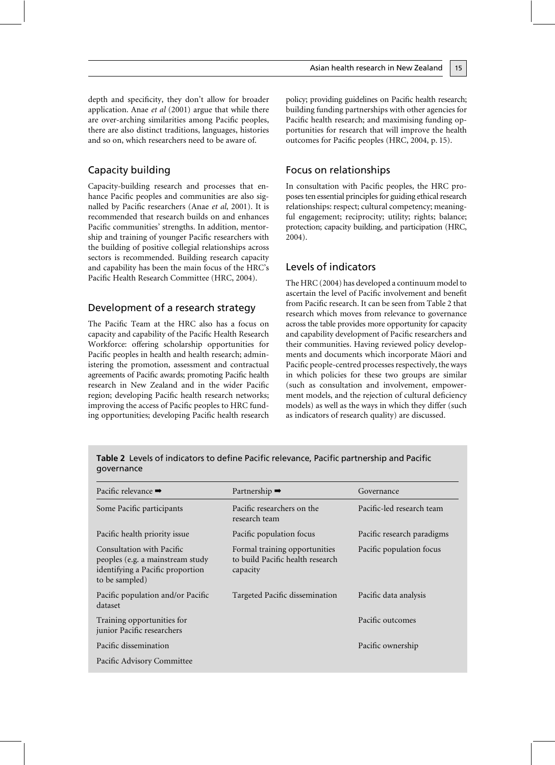depth and specificity, they don't allow for broader application. Anae et al (2001) argue that while there are over-arching similarities among Pacific peoples, there are also distinct traditions, languages, histories and so on, which researchers need to be aware of.

### Capacity building

Capacity-building research and processes that enhance Pacific peoples and communities are also signalled by Pacific researchers (Anae et al, 2001). It is recommended that research builds on and enhances Pacific communities' strengths. In addition, mentorship and training of younger Pacific researchers with the building of positive collegial relationships across sectors is recommended. Building research capacity and capability has been the main focus of the HRC's Pacific Health Research Committee (HRC, 2004).

### Development of a research strategy

The Pacific Team at the HRC also has a focus on capacity and capability of the Pacific Health Research Workforce: offering scholarship opportunities for Pacific peoples in health and health research; administering the promotion, assessment and contractual agreements of Pacific awards; promoting Pacific health research in New Zealand and in the wider Pacific region; developing Pacific health research networks; improving the access of Pacific peoples to HRC funding opportunities; developing Pacific health research policy; providing guidelines on Pacific health research; building funding partnerships with other agencies for Pacific health research; and maximising funding opportunities for research that will improve the health outcomes for Pacific peoples (HRC, 2004, p. 15).

#### Focus on relationships

In consultation with Pacific peoples, the HRC proposes ten essential principles for guiding ethical research relationships: respect; cultural competency; meaningful engagement; reciprocity; utility; rights; balance; protection; capacity building, and participation (HRC,  $2004$ ).

### Levels of indicators

The HRC (2004) has developed a continuum model to ascertain the level of Pacific involvement and benefit from Pacific research. It can be seen from Table 2 that research which moves from relevance to governance across the table provides more opportunity for capacity and capability development of Pacific researchers and their communities. Having reviewed policy developments and documents which incorporate Māori and Pacific people-centred processes respectively, the ways in which policies for these two groups are similar (such as consultation and involvement, empowerment models, and the rejection of cultural deficiency models) as well as the ways in which they differ (such as indicators of research quality) are discussed.

| Pacific relevance $\rightarrow$                                                                                     | Partnership $\rightarrow$                                                     | Governance                 |
|---------------------------------------------------------------------------------------------------------------------|-------------------------------------------------------------------------------|----------------------------|
| Some Pacific participants                                                                                           | Pacific researchers on the<br>research team                                   | Pacific-led research team  |
| Pacific health priority issue                                                                                       | Pacific population focus                                                      | Pacific research paradigms |
| Consultation with Pacific<br>peoples (e.g. a mainstream study<br>identifying a Pacific proportion<br>to be sampled) | Formal training opportunities<br>to build Pacific health research<br>capacity | Pacific population focus   |
| Pacific population and/or Pacific<br>dataset                                                                        | Targeted Pacific dissemination                                                | Pacific data analysis      |
| Training opportunities for<br>junior Pacific researchers                                                            |                                                                               | Pacific outcomes           |
| Pacific dissemination                                                                                               |                                                                               | Pacific ownership          |
| Pacific Advisory Committee                                                                                          |                                                                               |                            |

| Table 2 Levels of indicators to define Pacific relevance, Pacific partnership and Pacific |  |
|-------------------------------------------------------------------------------------------|--|
| governance                                                                                |  |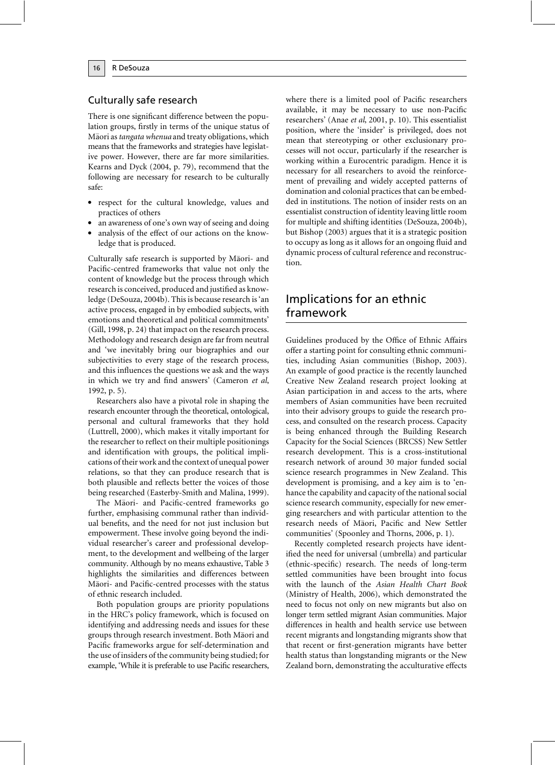### Culturally safe research

There is one significant difference between the population groups, firstly in terms of the unique status of Māori as tangata whenua and treaty obligations, which means that the frameworks and strategies have legislative power. However, there are far more similarities. Kearns and Dyck (2004, p. 79), recommend that the following are necessary for research to be culturally safe:

- respect for the cultural knowledge, values and practices of others
- an awareness of one's own way of seeing and doing
- analysis of the effect of our actions on the knowledge that is produced.

Culturally safe research is supported by Māori- and Pacific-centred frameworks that value not only the content of knowledge but the process through which research is conceived, produced and justified as knowledge (DeSouza, 2004b). This is because research is 'an active process, engaged in by embodied subjects, with emotions and theoretical and political commitments' (Gill, 1998, p. 24) that impact on the research process. Methodology and research design are far from neutral and 'we inevitably bring our biographies and our subjectivities to every stage of the research process, and this influences the questions we ask and the ways in which we try and find answers' (Cameron et al, 1992, p. 5).

Researchers also have a pivotal role in shaping the research encounter through the theoretical, ontological, personal and cultural frameworks that they hold (Luttrell, 2000), which makes it vitally important for the researcher to reflect on their multiple positionings and identification with groups, the political implications of their work and the context of unequal power relations, so that they can produce research that is both plausible and reflects better the voices of those being researched (Easterby-Smith and Malina, 1999).

The Māori- and Pacific-centred frameworks go further, emphasising communal rather than individual benefits, and the need for not just inclusion but empowerment. These involve going beyond the individual researcher's career and professional development, to the development and wellbeing of the larger community. Although by no means exhaustive, Table 3 highlights the similarities and differences between Māori- and Pacific-centred processes with the status of ethnic research included.

Both population groups are priority populations in the HRC's policy framework, which is focused on identifying and addressing needs and issues for these groups through research investment. Both Māori and Pacific frameworks argue for self-determination and the use of insiders of the community being studied; for example, 'While it is preferable to use Pacific researchers, where there is a limited pool of Pacific researchers available, it may be necessary to use non-Pacific researchers' (Anae et al, 2001, p. 10). This essentialist position, where the 'insider' is privileged, does not mean that stereotyping or other exclusionary processes will not occur, particularly if the researcher is working within a Eurocentric paradigm. Hence it is necessary for all researchers to avoid the reinforcement of prevailing and widely accepted patterns of domination and colonial practices that can be embedded in institutions. The notion of insider rests on an essentialist construction of identity leaving little room for multiple and shifting identities (DeSouza, 2004b), but Bishop (2003) argues that it is a strategic position to occupy as long as it allows for an ongoing fluid and dynamic process of cultural reference and reconstruction.

## Implications for an ethnic framework

Guidelines produced by the Office of Ethnic Affairs offer a starting point for consulting ethnic communities, including Asian communities (Bishop, 2003). An example of good practice is the recently launched Creative New Zealand research project looking at Asian participation in and access to the arts, where members of Asian communities have been recruited into their advisory groups to guide the research process, and consulted on the research process. Capacity is being enhanced through the Building Research Capacity for the Social Sciences (BRCSS) New Settler research development. This is a cross-institutional research network of around 30 major funded social science research programmes in New Zealand. This development is promising, and a key aim is to 'enhance the capability and capacity of the national social science research community, especially for new emerging researchers and with particular attention to the research needs of Māori, Pacific and New Settler communities' (Spoonley and Thorns, 2006, p. 1).

Recently completed research projects have identified the need for universal (umbrella) and particular (ethnic-specific) research. The needs of long-term settled communities have been brought into focus with the launch of the Asian Health Chart Book (Ministry of Health, 2006), which demonstrated the need to focus not only on new migrants but also on longer term settled migrant Asian communities. Major differences in health and health service use between recent migrants and longstanding migrants show that that recent or first-generation migrants have better health status than longstanding migrants or the New Zealand born, demonstrating the acculturative effects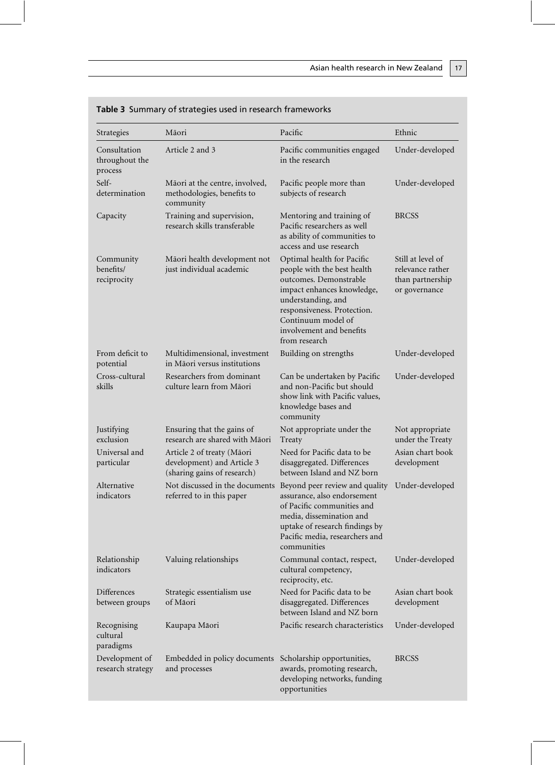| Strategies                                | Māori                                                                                   | Pacific                                                                                                                                                                                                                                   | Ethnic                                                                     |
|-------------------------------------------|-----------------------------------------------------------------------------------------|-------------------------------------------------------------------------------------------------------------------------------------------------------------------------------------------------------------------------------------------|----------------------------------------------------------------------------|
| Consultation<br>throughout the<br>process | Article 2 and 3                                                                         | Pacific communities engaged<br>in the research                                                                                                                                                                                            | Under-developed                                                            |
| Self-<br>determination                    | Māori at the centre, involved,<br>methodologies, benefits to<br>community               | Pacific people more than<br>subjects of research                                                                                                                                                                                          | Under-developed                                                            |
| Capacity                                  | Training and supervision,<br>research skills transferable                               | Mentoring and training of<br>Pacific researchers as well<br>as ability of communities to<br>access and use research                                                                                                                       | <b>BRCSS</b>                                                               |
| Community<br>benefits/<br>reciprocity     | Māori health development not<br>just individual academic                                | Optimal health for Pacific<br>people with the best health<br>outcomes. Demonstrable<br>impact enhances knowledge,<br>understanding, and<br>responsiveness. Protection.<br>Continuum model of<br>involvement and benefits<br>from research | Still at level of<br>relevance rather<br>than partnership<br>or governance |
| From deficit to<br>potential              | Multidimensional, investment<br>in Māori versus institutions                            | Building on strengths                                                                                                                                                                                                                     | Under-developed                                                            |
| Cross-cultural<br>skills                  | Researchers from dominant<br>culture learn from Māori                                   | Can be undertaken by Pacific<br>and non-Pacific but should<br>show link with Pacific values,<br>knowledge bases and<br>community                                                                                                          | Under-developed                                                            |
| Justifying<br>exclusion                   | Ensuring that the gains of<br>research are shared with Māori                            | Not appropriate under the<br>Treaty                                                                                                                                                                                                       | Not appropriate<br>under the Treaty                                        |
| Universal and<br>particular               | Article 2 of treaty (Māori<br>development) and Article 3<br>(sharing gains of research) | Need for Pacific data to be<br>disaggregated. Differences<br>between Island and NZ born                                                                                                                                                   | Asian chart book<br>development                                            |
| Alternative<br>indicators                 | Not discussed in the documents<br>referred to in this paper                             | Beyond peer review and quality<br>assurance, also endorsement<br>of Pacific communities and<br>media, dissemination and<br>uptake of research findings by<br>Pacific media, researchers and<br>communities                                | Under-developed                                                            |
| Relationship<br>indicators                | Valuing relationships                                                                   | Communal contact, respect,<br>cultural competency,<br>reciprocity, etc.                                                                                                                                                                   | Under-developed                                                            |
| Differences<br>between groups             | Strategic essentialism use<br>of Māori                                                  | Need for Pacific data to be<br>disaggregated. Differences<br>between Island and NZ born                                                                                                                                                   | Asian chart book<br>development                                            |
| Recognising<br>cultural<br>paradigms      | Kaupapa Māori                                                                           | Pacific research characteristics                                                                                                                                                                                                          | Under-developed                                                            |
| Development of<br>research strategy       | Embedded in policy documents<br>and processes                                           | Scholarship opportunities,<br>awards, promoting research,<br>developing networks, funding<br>opportunities                                                                                                                                | <b>BRCSS</b>                                                               |

| <b>Table 3</b> Summary of strategies used in research frameworks |  |  |  |
|------------------------------------------------------------------|--|--|--|
|                                                                  |  |  |  |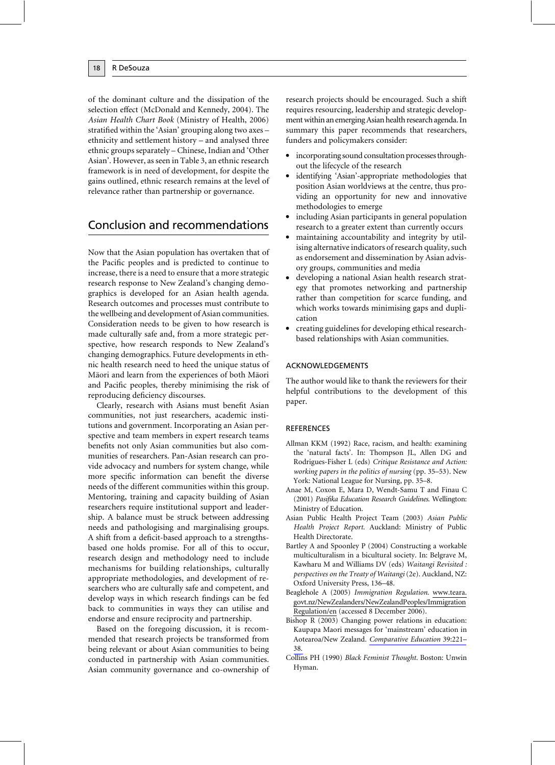of the dominant culture and the dissipation of the selection effect (McDonald and Kennedy, 2004). The Asian Health Chart Book (Ministry of Health, 2006) stratified within the 'Asian' grouping along two axes ethnicity and settlement history – and analysed three ethnic groups separately - Chinese, Indian and 'Other Asian'. However, as seen in Table 3, an ethnic research framework is in need of development, for despite the gains outlined, ethnic research remains at the level of relevance rather than partnership or governance.

# Conclusion and recommendations

Now that the Asian population has overtaken that of the Pacific peoples and is predicted to continue to increase, there is a need to ensure that a more strategic research response to New Zealand's changing demographics is developed for an Asian health agenda. Research outcomes and processes must contribute to the wellbeing and development of Asian communities. Consideration needs to be given to how research is made culturally safe and, from a more strategic perspective, how research responds to New Zealand's changing demographics. Future developments in ethnic health research need to heed the unique status of Māori and learn from the experiences of both Māori and Pacific peoples, thereby minimising the risk of reproducing deficiency discourses.

Clearly, research with Asians must benefit Asian communities, not just researchers, academic institutions and government. Incorporating an Asian perspective and team members in expert research teams benefits not only Asian communities but also communities of researchers. Pan-Asian research can provide advocacy and numbers for system change, while more specific information can benefit the diverse needs of the different communities within this group. Mentoring, training and capacity building of Asian researchers require institutional support and leadership. A balance must be struck between addressing needs and pathologising and marginalising groups. A shift from a deficit-based approach to a strengthsbased one holds promise. For all of this to occur, research design and methodology need to include mechanisms for building relationships, culturally appropriate methodologies, and development of researchers who are culturally safe and competent, and develop ways in which research findings can be fed back to communities in ways they can utilise and endorse and ensure reciprocity and partnership.

Based on the foregoing discussion, it is recommended that research projects be transformed from being relevant or about Asian communities to being conducted in partnership with Asian communities. Asian community governance and co-ownership of research projects should be encouraged. Such a shift requires resourcing, leadership and strategic development within an emerging Asian health research agenda. In summary this paper recommends that researchers, funders and policymakers consider:

- incorporating sound consultation processes throughout the lifecycle of the research
- identifying 'Asian'-appropriate methodologies that position Asian worldviews at the centre, thus providing an opportunity for new and innovative methodologies to emerge
- including Asian participants in general population research to a greater extent than currently occurs
- maintaining accountability and integrity by utilising alternative indicators of research quality, such as endorsement and dissemination by Asian advisory groups, communities and media
- developing a national Asian health research strategy that promotes networking and partnership rather than competition for scarce funding, and which works towards minimising gaps and duplication
- creating guidelines for developing ethical researchbased relationships with Asian communities.

#### **ACKNOWLEDGEMENTS**

The author would like to thank the reviewers for their helpful contributions to the development of this paper.

#### **REFERENCES**

- Allman KKM (1992) Race, racism, and health: examining the 'natural facts'. In: Thompson JL, Allen DG and Rodrigues-Fisher L (eds) Critique Resistance and Action: working papers in the politics of nursing (pp. 35-53). New York: National League for Nursing, pp. 35-8.
- Anae M, Coxon E, Mara D, Wendt-Samu T and Finau C (2001) Pasifika Education Research Guidelines. Wellington: Ministry of Education.
- Asian Public Health Project Team (2003) Asian Public Health Project Report. Auckland: Ministry of Public Health Directorate.
- Bartley A and Spoonley P (2004) Constructing a workable multiculturalism in a bicultural society. In: Belgrave M, Kawharu M and Williams DV (eds) Waitangi Revisited : perspectives on the Treaty of Waitangi (2e). Auckland, NZ: Oxford University Press, 136-48.
- Beaglehole A (2005) Immigration Regulation. www.teara. govt.nz/NewZealanders/NewZealandPeoples/Immigration Regulation/en (accessed 8 December 2006).
- Bishop R (2003) Changing power relations in education: Kaupapa Maori messages for 'mainstream' education in Aotearoa/New Zealand. Comparative Education 39:221-38
- Collins PH (1990) Black Feminist Thought. Boston: Unwin Hyman.

18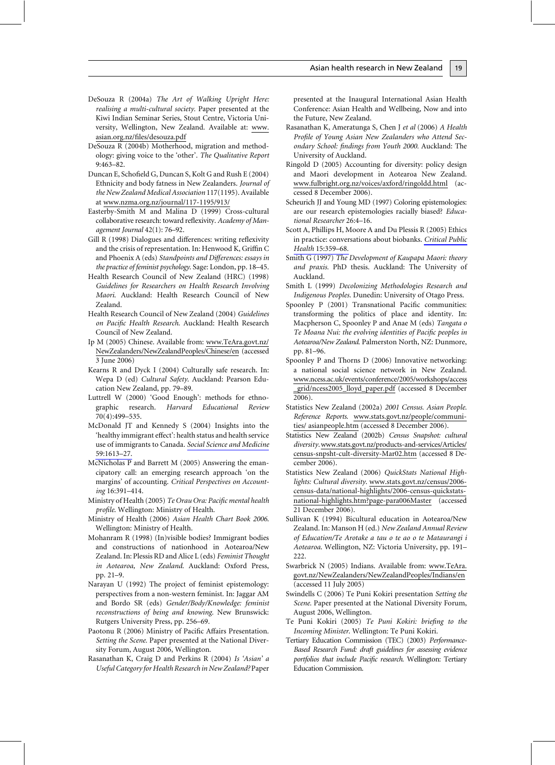- DeSouza R (2004a) The Art of Walking Upright Here: realising a multi-cultural society. Paper presented at the Kiwi Indian Seminar Series, Stout Centre, Victoria University, Wellington, New Zealand. Available at: www. asian.org.nz/files/desouza.pdf
- DeSouza R (2004b) Motherhood, migration and methodology: giving voice to the 'other'. The Qualitative Report  $9:463 - 82.$
- Duncan E, Schofield G, Duncan S, Kolt G and Rush E (2004) Ethnicity and body fatness in New Zealanders. Journal of the New Zealand Medical Association 117(1195). Available at www.nzma.org.nz/journal/117-1195/913/
- Easterby-Smith M and Malina D (1999) Cross-cultural collaborative research: toward reflexivity. Academy of Management Journal 42(1): 76-92.
- Gill R (1998) Dialogues and differences: writing reflexivity and the crisis of representation. In: Henwood K, Griffin C and Phoenix A (eds) Standpoints and Differences: essays in the practice of feminist psychology. Sage: London, pp. 18–45.
- Health Research Council of New Zealand (HRC) (1998) Guidelines for Researchers on Health Research Involving Maori. Auckland: Health Research Council of New Zealand.
- Health Research Council of New Zealand (2004) Guidelines on Pacific Health Research. Auckland: Health Research Council of New Zealand.
- Ip M (2005) Chinese. Available from: www.TeAra.govt.nz/ NewZealanders/NewZealandPeoples/Chinese/en (accessed 3 June 2006)
- Kearns R and Dyck I (2004) Culturally safe research. In: Wepa D (ed) Cultural Safety. Auckland: Pearson Education New Zealand, pp. 79-89.
- Luttrell W (2000) 'Good Enough': methods for ethno-Harvard research. Educational Review graphic 70(4):499-535.
- McDonald JT and Kennedy S (2004) Insights into the 'healthy immigrant effect': health status and health service use of immigrants to Canada. Social Science and Medicine 59:1613-27.
- $McNicholas P$  and Barrett M (2005) Answering the emancipatory call: an emerging research approach 'on the margins' of accounting. Critical Perspectives on Accounting 16:391-414.
- Ministry of Health (2005) Te Orau Ora: Pacific mental health profile. Wellington: Ministry of Health.
- Ministry of Health (2006) Asian Health Chart Book 2006. Wellington: Ministry of Health.
- Mohanram R (1998) (In)visible bodies? Immigrant bodies and constructions of nationhood in Aotearoa/New Zealand. In: Plessis RD and Alice L (eds) Feminist Thought in Aotearoa, New Zealand. Auckland: Oxford Press, pp. 21-9.
- Narayan U (1992) The project of feminist epistemology: perspectives from a non-western feminist. In: Jaggar AM and Bordo SR (eds) Gender/Body/Knowledge: feminist reconstructions of being and knowing. New Brunswick: Rutgers University Press, pp. 256-69.
- Paotonu R (2006) Ministry of Pacific Affairs Presentation. Setting the Scene. Paper presented at the National Diversity Forum, August 2006, Wellington.
- Rasanathan K, Craig D and Perkins R (2004) Is 'Asian' a Useful Category for Health Research in New Zealand? Paper

presented at the Inaugural International Asian Health Conference: Asian Health and Wellbeing, Now and into the Future, New Zealand.

- Rasanathan K, Ameratunga S, Chen J et al (2006) A Health Profile of Young Asian New Zealanders who Attend Secondary School: findings from Youth 2000. Auckland: The University of Auckland.
- Ringold D (2005) Accounting for diversity: policy design and Maori development in Aotearoa New Zealand. www.fulbright.org.nz/voices/axford/ringoldd.html (accessed 8 December 2006).
- Scheurich JJ and Young MD (1997) Coloring epistemologies: are our research epistemologies racially biased? Educational Researcher 26:4-16.
- Scott A, Phillips H, Moore A and Du Plessis R (2005) Ethics in practice: conversations about biobanks. Critical Public Health 15:359-68.
- Smith G (1997) The Development of Kaupapa Maori: theory and praxis. PhD thesis. Auckland: The University of Auckland.
- Smith L (1999) Decolonizing Methodologies Research and Indigenous Peoples. Dunedin: University of Otago Press.
- Spoonley P (2001) Transnational Pacific communities: transforming the politics of place and identity. In: Macpherson C, Spoonley P and Anae M (eds) Tangata o Te Moana Nui: the evolving identities of Pacific peoples in Aotearoa/New Zealand. Palmerston North, NZ: Dunmore, pp. 81-96.
- Spoonley P and Thorns D (2006) Innovative networking: a national social science network in New Zealand. www.ncess.ac.uk/events/conference/2005/workshops/access \_grid/ncess2005\_lloyd\_paper.pdf (accessed 8 December  $2006$ ).
- Statistics New Zealand (2002a) 2001 Census. Asian People. Reference Reports. www.stats.govt.nz/people/communities/asianpeople.htm (accessed 8 December 2006).
- Statistics New Zealand (2002b) Census Snapshot: cultural diversity.www.stats.govt.nz/products-and-services/Articles/ census-snpsht-cult-diversity-Mar02.htm (accessed 8 December 2006).
- Statistics New Zealand (2006) QuickStats National Highlights: Cultural diversity. www.stats.govt.nz/census/2006census-data/national-highlights/2006-census-quickstatsnational-highlights.htm?page-para006Master (accessed 21 December 2006).
- Sullivan K (1994) Bicultural education in Aotearoa/New Zealand. In: Manson H (ed.) New Zealand Annual Review of Education/Te Arotake a tau o te ao o te Mataurangi i Aotearoa. Wellington, NZ: Victoria University, pp. 191- $222.$
- Swarbrick N (2005) Indians. Available from: www.TeAra. govt.nz/NewZealanders/NewZealandPeoples/Indians/en (accessed 11 July 2005)
- Swindells C (2006) Te Puni Kokiri presentation Setting the Scene. Paper presented at the National Diversity Forum, August 2006, Wellington.
- Te Puni Kokiri (2005) Te Puni Kokiri: briefing to the Incoming Minister. Wellington: Te Puni Kokiri.
- Tertiary Education Commission (TEC) (2003) Performance-Based Research Fund: draft guidelines for assessing evidence portfolios that include Pacific research. Wellington: Tertiary **Education Commission.**